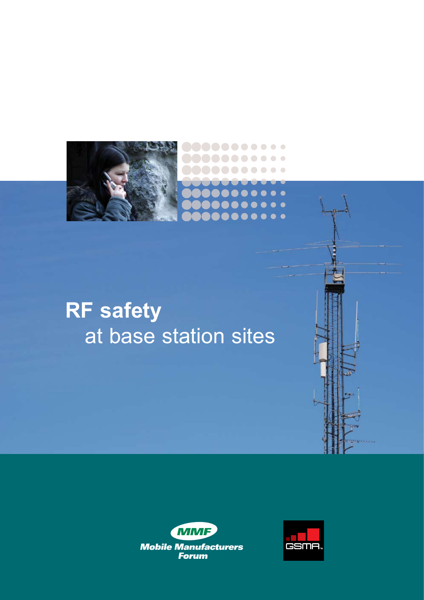

# **RF safety** at base station sites





 $\bullet$ 

 $\bullet$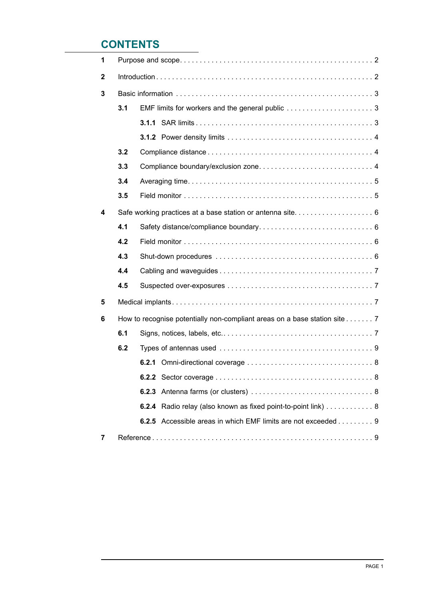# **CONTENTS**

| 1            |                                                                           |                                                               |  |  |  |
|--------------|---------------------------------------------------------------------------|---------------------------------------------------------------|--|--|--|
| $\mathbf{2}$ |                                                                           |                                                               |  |  |  |
| 3            |                                                                           |                                                               |  |  |  |
|              | 3.1                                                                       |                                                               |  |  |  |
|              |                                                                           |                                                               |  |  |  |
|              |                                                                           |                                                               |  |  |  |
|              | 3.2                                                                       |                                                               |  |  |  |
|              | 3.3                                                                       |                                                               |  |  |  |
|              | 3.4                                                                       |                                                               |  |  |  |
|              | 3.5                                                                       |                                                               |  |  |  |
| 4            |                                                                           |                                                               |  |  |  |
|              | 4.1                                                                       |                                                               |  |  |  |
|              | 4.2                                                                       |                                                               |  |  |  |
|              | 4.3                                                                       |                                                               |  |  |  |
|              | 4.4                                                                       |                                                               |  |  |  |
|              | 4.5                                                                       |                                                               |  |  |  |
| 5            |                                                                           |                                                               |  |  |  |
| 6            | How to recognise potentially non-compliant areas on a base station site 7 |                                                               |  |  |  |
|              | 6.1                                                                       |                                                               |  |  |  |
|              | 6.2                                                                       |                                                               |  |  |  |
|              |                                                                           |                                                               |  |  |  |
|              |                                                                           |                                                               |  |  |  |
|              |                                                                           |                                                               |  |  |  |
|              |                                                                           | 6.2.4 Radio relay (also known as fixed point-to-point link) 8 |  |  |  |
|              |                                                                           | 6.2.5 Accessible areas in which EMF limits are not exceeded 9 |  |  |  |
| 7            |                                                                           |                                                               |  |  |  |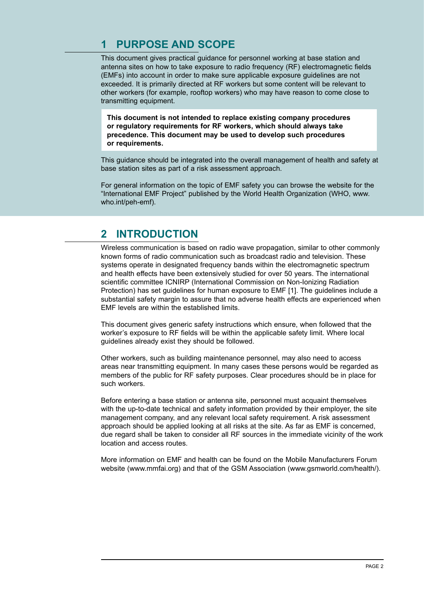# **1 Purpose AND SCOPE**

This document gives practical guidance for personnel working at base station and antenna sites on how to take exposure to radio frequency (RF) electromagnetic fields (EMFs) into account in order to make sure applicable exposure guidelines are not exceeded. It is primarily directed at RF workers but some content will be relevant to other workers (for example, rooftop workers) who may have reason to come close to transmitting equipment.

**This document is not intended to replace existing company procedures or regulatory requirements for RF workers, which should always take precedence. This document may be used to develop such procedures or requirements.**

This guidance should be integrated into the overall management of health and safety at base station sites as part of a risk assessment approach.

For general information on the topic of EMF safety you can browse the website for the "International EMF Project" published by the World Health Organization (WHO, www. who.int/peh-emf).

## **2 Introduction**

Wireless communication is based on radio wave propagation, similar to other commonly known forms of radio communication such as broadcast radio and television. These systems operate in designated frequency bands within the electromagnetic spectrum and health effects have been extensively studied for over 50 years. The international scientific committee ICNIRP (International Commission on Non-Ionizing Radiation Protection) has set guidelines for human exposure to EMF [1]. The guidelines include a substantial safety margin to assure that no adverse health effects are experienced when EMF levels are within the established limits.

This document gives generic safety instructions which ensure, when followed that the worker's exposure to RF fields will be within the applicable safety limit. Where local guidelines already exist they should be followed.

Other workers, such as building maintenance personnel, may also need to access areas near transmitting equipment. In many cases these persons would be regarded as members of the public for RF safety purposes. Clear procedures should be in place for such workers.

Before entering a base station or antenna site, personnel must acquaint themselves with the up-to-date technical and safety information provided by their employer, the site management company, and any relevant local safety requirement. A risk assessment approach should be applied looking at all risks at the site. As far as EMF is concerned, due regard shall be taken to consider all RF sources in the immediate vicinity of the work location and access routes.

More information on EMF and health can be found on the Mobile Manufacturers Forum website (www.mmfai.org) and that of the GSM Association (www.gsmworld.com/health/).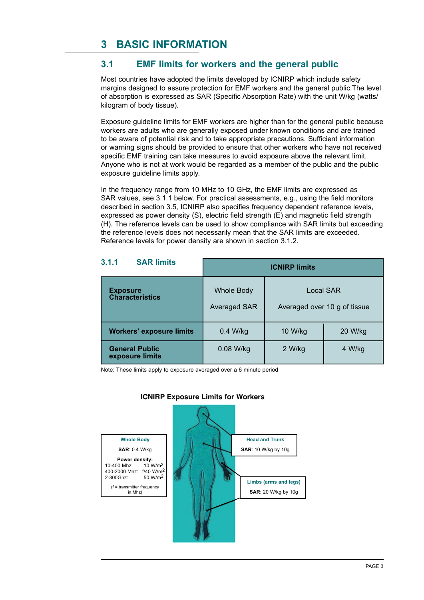# **3 Basic information**

## **3.1 EMF limits for workers and the general public**

Most countries have adopted the limits developed by ICNIRP which include safety margins designed to assure protection for EMF workers and the general public.The level of absorption is expressed as SAR (Specific Absorption Rate) with the unit W/kg (watts/ kilogram of body tissue).

Exposure guideline limits for EMF workers are higher than for the general public because workers are adults who are generally exposed under known conditions and are trained to be aware of potential risk and to take appropriate precautions. Sufficient information or warning signs should be provided to ensure that other workers who have not received specific EMF training can take measures to avoid exposure above the relevant limit. Anyone who is not at work would be regarded as a member of the public and the public exposure guideline limits apply.

In the frequency range from 10 MHz to 10 GHz, the EMF limits are expressed as SAR values, see 3.1.1 below. For practical assessments, e.g., using the field monitors described in section 3.5, ICNIRP also specifies frequency dependent reference levels, expressed as power density (S), electric field strength (E) and magnetic field strength (H). The reference levels can be used to show compliance with SAR limits but exceeding the reference levels does not necessarily mean that the SAR limits are exceeded. Reference levels for power density are shown in section 3.1.2.

| 3.1.1<br><b>SAR limits</b>                | <b>ICNIRP limits</b>              |                                           |         |
|-------------------------------------------|-----------------------------------|-------------------------------------------|---------|
| <b>Exposure</b><br><b>Characteristics</b> | <b>Whole Body</b><br>Averaged SAR | Local SAR<br>Averaged over 10 g of tissue |         |
| <b>Workers' exposure limits</b>           | $0.4$ W/kg                        | 10 W/kg                                   | 20 W/kg |
| <b>General Public</b><br>exposure limits  | 0.08 W/kg                         | 2 W/kg                                    | 4 W/kg  |

Note: These limits apply to exposure averaged over a 6 minute period



#### **ICNIRP Exposure Limits for Workers**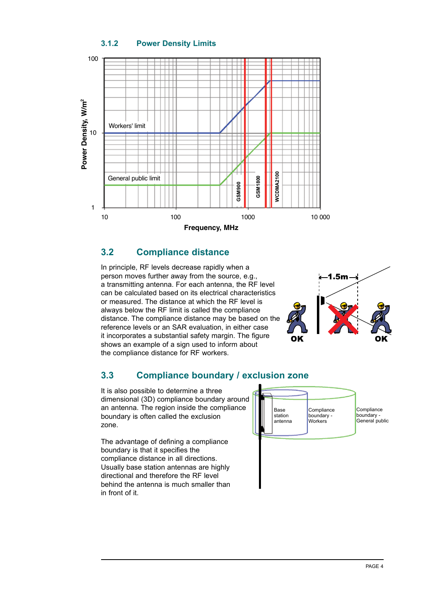#### **3.1.2 Power Density Limits**



#### **3.2 Compliance distance**

In principle, RF levels decrease rapidly when a person moves further away from the source, e.g., a transmitting antenna. For each antenna, the RF level can be calculated based on its electrical characteristics or measured. The distance at which the RF level is always below the RF limit is called the compliance distance. The compliance distance may be based on the reference levels or an SAR evaluation, in either case it incorporates a substantial safety margin. The figure shows an example of a sign used to inform about the compliance distance for RF workers.



## **3.3 Compliance boundary / exclusion zone**

It is also possible to determine a three dimensional (3D) compliance boundary around an antenna. The region inside the compliance boundary is often called the exclusion zone.

The advantage of defining a compliance boundary is that it specifies the compliance distance in all directions. Usually base station antennas are highly directional and therefore the RF level behind the antenna is much smaller than in front of it.

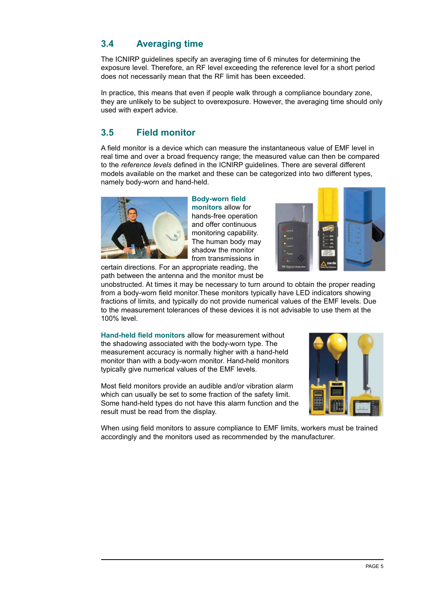## **3.4 Averaging time**

The ICNIRP guidelines specify an averaging time of 6 minutes for determining the exposure level. Therefore, an RF level exceeding the reference level for a short period does not necessarily mean that the RF limit has been exceeded.

In practice, this means that even if people walk through a compliance boundary zone, they are unlikely to be subject to overexposure. However, the averaging time should only used with expert advice.

## **3.5 Field monitor**

A field monitor is a device which can measure the instantaneous value of EMF level in real time and over a broad frequency range; the measured value can then be compared to the *reference levels* defined in the ICNIRP guidelines. There are several different models available on the market and these can be categorized into two different types, namely body-worn and hand-held.



#### **Body-worn field monitors** allow for

hands-free operation and offer continuous monitoring capability. The human body may shadow the monitor from transmissions in

certain directions. For an appropriate reading, the path between the antenna and the monitor must be



unobstructed. At times it may be necessary to turn around to obtain the proper reading from a body-worn field monitor.These monitors typically have LED indicators showing fractions of limits, and typically do not provide numerical values of the EMF levels. Due to the measurement tolerances of these devices it is not advisable to use them at the 100% level.

**Hand-held field monitors** allow for measurement without the shadowing associated with the body-worn type. The measurement accuracy is normally higher with a hand-held monitor than with a body-worn monitor. Hand-held monitors typically give numerical values of the EMF levels.

Most field monitors provide an audible and/or vibration alarm which can usually be set to some fraction of the safety limit. Some hand-held types do not have this alarm function and the result must be read from the display.



When using field monitors to assure compliance to EMF limits, workers must be trained accordingly and the monitors used as recommended by the manufacturer.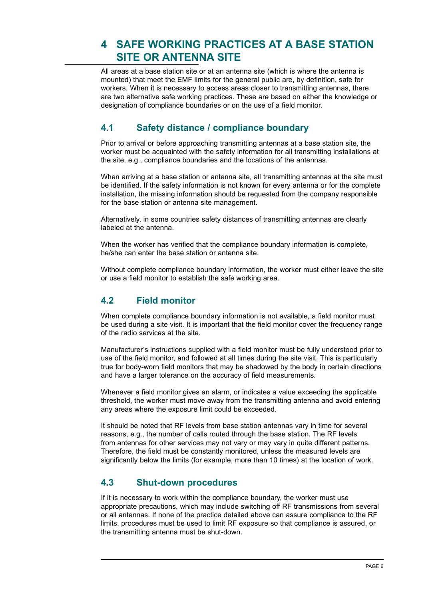# **4 Safe working practices at a base station site OR ANTENNA SITE**

All areas at a base station site or at an antenna site (which is where the antenna is mounted) that meet the EMF limits for the general public are, by definition, safe for workers. When it is necessary to access areas closer to transmitting antennas, there are two alternative safe working practices. These are based on either the knowledge or designation of compliance boundaries or on the use of a field monitor.

## **4.1 Safety distance / compliance boundary**

Prior to arrival or before approaching transmitting antennas at a base station site, the worker must be acquainted with the safety information for all transmitting installations at the site, e.g., compliance boundaries and the locations of the antennas.

When arriving at a base station or antenna site, all transmitting antennas at the site must be identified. If the safety information is not known for every antenna or for the complete installation, the missing information should be requested from the company responsible for the base station or antenna site management.

Alternatively, in some countries safety distances of transmitting antennas are clearly labeled at the antenna.

When the worker has verified that the compliance boundary information is complete, he/she can enter the base station or antenna site.

Without complete compliance boundary information, the worker must either leave the site or use a field monitor to establish the safe working area.

## **4.2 Field monitor**

When complete compliance boundary information is not available, a field monitor must be used during a site visit. It is important that the field monitor cover the frequency range of the radio services at the site.

Manufacturer's instructions supplied with a field monitor must be fully understood prior to use of the field monitor, and followed at all times during the site visit. This is particularly true for body-worn field monitors that may be shadowed by the body in certain directions and have a larger tolerance on the accuracy of field measurements.

Whenever a field monitor gives an alarm, or indicates a value exceeding the applicable threshold, the worker must move away from the transmitting antenna and avoid entering any areas where the exposure limit could be exceeded.

It should be noted that RF levels from base station antennas vary in time for several reasons, e.g., the number of calls routed through the base station. The RF levels from antennas for other services may not vary or may vary in quite different patterns. Therefore, the field must be constantly monitored, unless the measured levels are significantly below the limits (for example, more than 10 times) at the location of work.

## **4.3 Shut-down procedures**

If it is necessary to work within the compliance boundary, the worker must use appropriate precautions, which may include switching off RF transmissions from several or all antennas. If none of the practice detailed above can assure compliance to the RF limits, procedures must be used to limit RF exposure so that compliance is assured, or the transmitting antenna must be shut-down.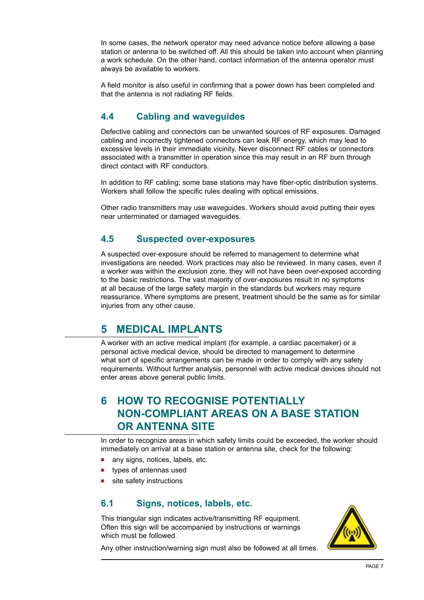In some cases, the network operator may need advance notice before allowing a base station or antenna to be switched off. All this should be taken into account when planning a work schedule. On the other hand, contact information of the antenna operator must always be available to workers.

A field monitor is also useful in confirming that a power down has been completed and that the antenna is not radiating RF fields.

## **4.4 Cabling and waveguides**

Defective cabling and connectors can be unwanted sources of RF exposures. Damaged cabling and incorrectly tightened connectors can leak RF energy, which may lead to excessive levels in their immediate vicinity. Never disconnect RF cables or connectors associated with a transmitter in operation since this may result in an RF burn through direct contact with RF conductors.

In addition to RF cabling, some base stations may have fiber-optic distribution systems. Workers shall follow the specific rules dealing with optical emissions.

Other radio transmitters may use waveguides. Workers should avoid putting their eyes near unterminated or damaged waveguides.

## **4.5 Suspected over-exposures**

A suspected over-exposure should be referred to management to determine what investigations are needed. Work practices may also be reviewed. In many cases, even if a worker was within the exclusion zone, they will not have been over-exposed according to the basic restrictions. The vast majority of over-exposures result in no symptoms at all because of the large safety margin in the standards but workers may require reassurance. Where symptoms are present, treatment should be the same as for similar injuries from any other cause.

## **5 Medical implants**

A worker with an active medical implant (for example, a cardiac pacemaker) or a personal active medical device, should be directed to management to determine what sort of specific arrangements can be made in order to comply with any safety requirements. Without further analysis, personnel with active medical devices should not enter areas above general public limits.

# **6 HOW TO RECOGNISE POTENTIALLY NON-COMPLIANT AREAS ON A BASE STATION OR ANTENNA SITE**

In order to recognize areas in which safety limits could be exceeded, the worker should immediately on arrival at a base station or antenna site, check for the following:

- any signs, notices, labels, etc.
- types of antennas used
- site safety instructions

## **6.1 Signs, notices, labels, etc.**

This triangular sign indicates active/transmitting RF equipment. Often this sign will be accompanied by instructions or warnings which must be followed.



Any other instruction/warning sign must also be followed at all times.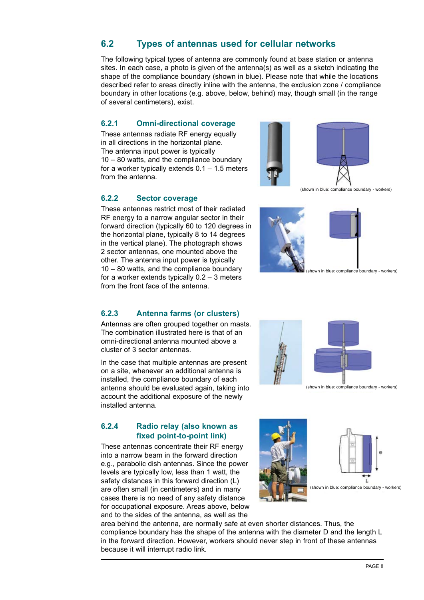## **6.2 Types of antennas used for cellular networks**

The following typical types of antenna are commonly found at base station or antenna sites. In each case, a photo is given of the antenna(s) as well as a sketch indicating the shape of the compliance boundary (shown in blue). Please note that while the locations described refer to areas directly inline with the antenna, the exclusion zone / compliance boundary in other locations (e.g. above, below, behind) may, though small (in the range of several centimeters), exist.

#### **6.2.1 Omni-directional coverage**

These antennas radiate RF energy equally in all directions in the horizontal plane. The antenna input power is typically 10 – 80 watts, and the compliance boundary for a worker typically extends  $0.1 - 1.5$  meters from the antenna.



**6.2.2 Sector coverage**

These antennas restrict most of their radiated RF energy to a narrow angular sector in their forward direction (typically 60 to 120 degrees in the horizontal plane, typically 8 to 14 degrees in the vertical plane). The photograph shows 2 sector antennas, one mounted above the other. The antenna input power is typically 10 – 80 watts, and the compliance boundary for a worker extends typically 0.2 – 3 meters from the front face of the antenna.

#### **6.2.3 Antenna farms (or clusters)**

Antennas are often grouped together on masts. The combination illustrated here is that of an omni-directional antenna mounted above a cluster of 3 sector antennas.

In the case that multiple antennas are present on a site, whenever an additional antenna is installed, the compliance boundary of each antenna should be evaluated again, taking into account the additional exposure of the newly installed antenna.

#### **6.2.4 Radio relay (also known as fixed point-to-point link)**

These antennas concentrate their RF energy into a narrow beam in the forward direction e.g., parabolic dish antennas. Since the power levels are typically low, less than 1 watt, the safety distances in this forward direction (L) are often small (in centimeters) and in many cases there is no need of any safety distance for occupational exposure. Areas above, below and to the sides of the antenna, as well as the

area behind the antenna, are normally safe at even shorter distances. Thus, the compliance boundary has the shape of the antenna with the diameter D and the length L in the forward direction. However, workers should never step in front of these antennas because it will interrupt radio link.

(shown in blue: compliance boundary - workers)

(shown in blue: compliance boundary - workers)

(shown in blue: compliance boundary - workers)





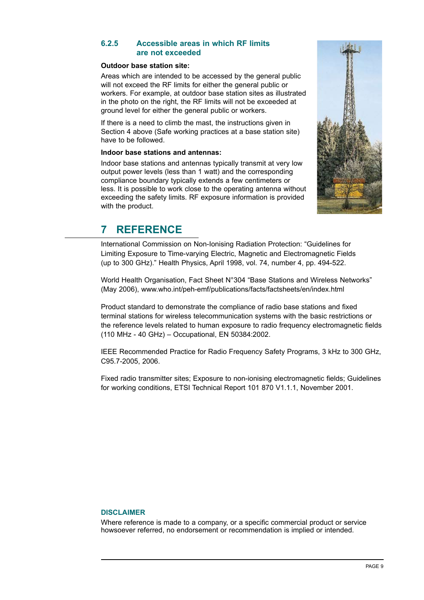#### **6.2.5 Accessible areas in which RF limits are not exceeded**

#### **Outdoor base station site:**

Areas which are intended to be accessed by the general public will not exceed the RF limits for either the general public or workers. For example, at outdoor base station sites as illustrated in the photo on the right, the RF limits will not be exceeded at ground level for either the general public or workers.

If there is a need to climb the mast, the instructions given in Section 4 above (Safe working practices at a base station site) have to be followed.

#### **Indoor base stations and antennas:**

Indoor base stations and antennas typically transmit at very low output power levels (less than 1 watt) and the corresponding compliance boundary typically extends a few centimeters or less. It is possible to work close to the operating antenna without exceeding the safety limits. RF exposure information is provided with the product.



# **7 Reference**

International Commission on Non-Ionising Radiation Protection: "Guidelines for Limiting Exposure to Time-varying Electric, Magnetic and Electromagnetic Fields (up to 300 GHz)." Health Physics, April 1998, vol. 74, number 4, pp. 494-522.

World Health Organisation, Fact Sheet N°304 "Base Stations and Wireless Networks" (May 2006), www.who.int/peh-emf/publications/facts/factsheets/en/index.html

Product standard to demonstrate the compliance of radio base stations and fixed terminal stations for wireless telecommunication systems with the basic restrictions or the reference levels related to human exposure to radio frequency electromagnetic fields (110 MHz - 40 GHz) – Occupational, EN 50384:2002.

IEEE Recommended Practice for Radio Frequency Safety Programs, 3 kHz to 300 GHz, C95.7-2005, 2006.

Fixed radio transmitter sites; Exposure to non-ionising electromagnetic fields; Guidelines for working conditions, ETSI Technical Report 101 870 V1.1.1, November 2001.

#### **Disclaimer**

Where reference is made to a company, or a specific commercial product or service howsoever referred, no endorsement or recommendation is implied or intended.